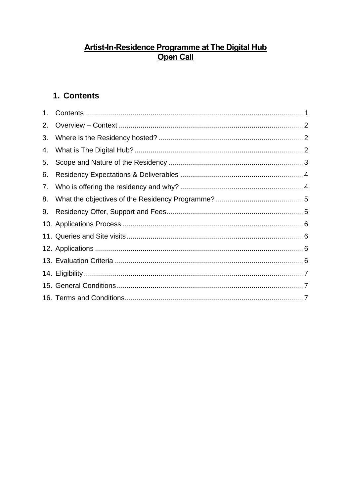# <u>Artist-In-Residence Programme at The Digital Hub</u><br>Open Call

# <span id="page-0-0"></span>1. Contents

| 2. |  |
|----|--|
| 3. |  |
| 4. |  |
| 5. |  |
| 6. |  |
|    |  |
| 8. |  |
| 9. |  |
|    |  |
|    |  |
|    |  |
|    |  |
|    |  |
|    |  |
|    |  |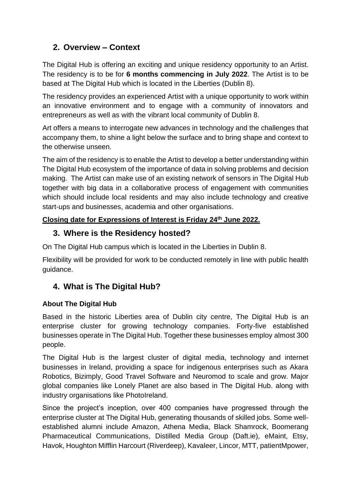# <span id="page-1-0"></span>**2. Overview – Context**

The Digital Hub is offering an exciting and unique residency opportunity to an Artist. The residency is to be for **6 months commencing in July 2022**. The Artist is to be based at The Digital Hub which is located in the Liberties (Dublin 8).

The residency provides an experienced Artist with a unique opportunity to work within an innovative environment and to engage with a community of innovators and entrepreneurs as well as with the vibrant local community of Dublin 8.

Art offers a means to interrogate new advances in technology and the challenges that accompany them, to shine a light below the surface and to bring shape and context to the otherwise unseen.

The aim of the residency is to enable the Artist to develop a better understanding within The Digital Hub ecosystem of the importance of data in solving problems and decision making. The Artist can make use of an existing network of sensors in The Digital Hub together with big data in a collaborative process of engagement with communities which should include local residents and may also include technology and creative start-ups and businesses, academia and other organisations.

#### **Closing date for Expressions of Interest is Friday 24th June 2022.**

#### <span id="page-1-1"></span>**3. Where is the Residency hosted?**

On The Digital Hub campus which is located in the Liberties in Dublin 8.

Flexibility will be provided for work to be conducted remotely in line with public health guidance.

# <span id="page-1-2"></span>**4. What is The Digital Hub?**

#### **About The Digital Hub**

Based in the historic Liberties area of Dublin city centre, The Digital Hub is an enterprise cluster for growing technology companies. Forty-five established businesses operate in The Digital Hub. Together these businesses employ almost 300 people.

The Digital Hub is the largest cluster of digital media, technology and internet businesses in Ireland, providing a space for indigenous enterprises such as Akara Robotics, Bizimply, Good Travel Software and Neuromod to scale and grow. Major global companies like Lonely Planet are also based in The Digital Hub. along with industry organisations like PhotoIreland.

Since the project's inception, over 400 companies have progressed through the enterprise cluster at The Digital Hub, generating thousands of skilled jobs. Some wellestablished alumni include Amazon, Athena Media, Black Shamrock, Boomerang Pharmaceutical Communications, Distilled Media Group (Daft.ie), eMaint, Etsy, Havok, Houghton Mifflin Harcourt (Riverdeep), Kavaleer, Lincor, MTT, patientMpower,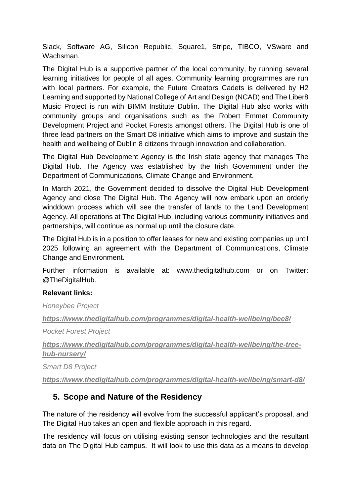Slack, Software AG, Silicon Republic, Square1, Stripe, TIBCO, VSware and Wachsman.

The Digital Hub is a supportive partner of the local community, by running several learning initiatives for people of all ages. Community learning programmes are run with local partners. For example, the Future Creators Cadets is delivered by H2 Learning and supported by National College of Art and Design (NCAD) and The Liber8 Music Project is run with BIMM Institute Dublin. The Digital Hub also works with community groups and organisations such as the Robert Emmet Community Development Project and Pocket Forests amongst others. The Digital Hub is one of three lead partners on the Smart D8 initiative which aims to improve and sustain the health and wellbeing of Dublin 8 citizens through innovation and collaboration.

The Digital Hub Development Agency is the Irish state agency that manages The Digital Hub. The Agency was established by the Irish Government under the Department of Communications, Climate Change and Environment.

In March 2021, the Government decided to dissolve the Digital Hub Development Agency and close The Digital Hub. The Agency will now embark upon an orderly winddown process which will see the transfer of lands to the Land Development Agency. All operations at The Digital Hub, including various community initiatives and partnerships, will continue as normal up until the closure date.

The Digital Hub is in a position to offer leases for new and existing companies up until 2025 following an agreement with the Department of Communications, Climate Change and Environment.

Further information is available at: www.thedigitalhub.com or on Twitter: @TheDigitalHub.

#### **Relevant links:**

*Honeybee Project*

*<https://www.thedigitalhub.com/programmes/digital-health-wellbeing/bee8/>*

*Pocket Forest Project*

*[https://www.thedigitalhub.com/programmes/digital-health-wellbeing/the-tree](https://www.thedigitalhub.com/programmes/digital-health-wellbeing/the-tree-hub-nursery/)[hub-nursery/](https://www.thedigitalhub.com/programmes/digital-health-wellbeing/the-tree-hub-nursery/)*

*Smart D8 Project*

*<https://www.thedigitalhub.com/programmes/digital-health-wellbeing/smart-d8/>*

#### <span id="page-2-0"></span>**5. Scope and Nature of the Residency**

The nature of the residency will evolve from the successful applicant's proposal, and The Digital Hub takes an open and flexible approach in this regard.

The residency will focus on utilising existing sensor technologies and the resultant data on The Digital Hub campus. It will look to use this data as a means to develop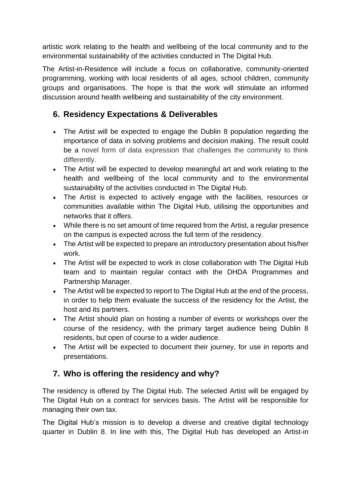artistic work relating to the health and wellbeing of the local community and to the environmental sustainability of the activities conducted in The Digital Hub.

The Artist-in-Residence will include a focus on collaborative, community-oriented programming, working with local residents of all ages, school children, community groups and organisations. The hope is that the work will stimulate an informed discussion around health wellbeing and sustainability of the city environment.

# <span id="page-3-0"></span>**6. Residency Expectations & Deliverables**

- The Artist will be expected to engage the Dublin 8 population regarding the importance of data in solving problems and decision making. The result could be a novel form of data expression that challenges the community to think differently.
- The Artist will be expected to develop meaningful art and work relating to the health and wellbeing of the local community and to the environmental sustainability of the activities conducted in The Digital Hub.
- The Artist is expected to actively engage with the facilities, resources or communities available within The Digital Hub, utilising the opportunities and networks that it offers.
- While there is no set amount of time required from the Artist, a regular presence on the campus is expected across the full term of the residency.
- The Artist will be expected to prepare an introductory presentation about his/her work.
- The Artist will be expected to work in close collaboration with The Digital Hub team and to maintain regular contact with the DHDA Programmes and Partnership Manager.
- The Artist will be expected to report to The Digital Hub at the end of the process, in order to help them evaluate the success of the residency for the Artist, the host and its partners.
- The Artist should plan on hosting a number of events or workshops over the course of the residency, with the primary target audience being Dublin 8 residents, but open of course to a wider audience.
- The Artist will be expected to document their journey, for use in reports and presentations.

## <span id="page-3-1"></span>**7. Who is offering the residency and why?**

The residency is offered by The Digital Hub. The selected Artist will be engaged by The Digital Hub on a contract for services basis. The Artist will be responsible for managing their own tax.

The Digital Hub's mission is to develop a diverse and creative digital technology quarter in Dublin 8. In line with this, The Digital Hub has developed an Artist-in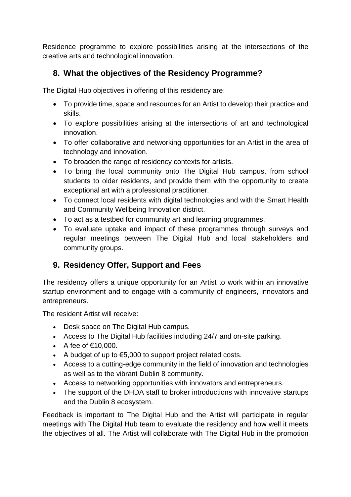Residence programme to explore possibilities arising at the intersections of the creative arts and technological innovation.

# <span id="page-4-0"></span>**8. What the objectives of the Residency Programme?**

The Digital Hub objectives in offering of this residency are:

- To provide time, space and resources for an Artist to develop their practice and skills.
- To explore possibilities arising at the intersections of art and technological innovation.
- To offer collaborative and networking opportunities for an Artist in the area of technology and innovation.
- To broaden the range of residency contexts for artists.
- To bring the local community onto The Digital Hub campus, from school students to older residents, and provide them with the opportunity to create exceptional art with a professional practitioner.
- To connect local residents with digital technologies and with the Smart Health and Community Wellbeing Innovation district.
- To act as a testbed for community art and learning programmes.
- To evaluate uptake and impact of these programmes through surveys and regular meetings between The Digital Hub and local stakeholders and community groups.

## <span id="page-4-1"></span>**9. Residency Offer, Support and Fees**

The residency offers a unique opportunity for an Artist to work within an innovative startup environment and to engage with a community of engineers, innovators and entrepreneurs.

The resident Artist will receive:

- Desk space on The Digital Hub campus.
- Access to The Digital Hub facilities including 24/7 and on-site parking.
- A fee of  $€10,000$ .
- A budget of up to €5,000 to support project related costs.
- Access to a cutting-edge community in the field of innovation and technologies as well as to the vibrant Dublin 8 community.
- Access to networking opportunities with innovators and entrepreneurs.
- The support of the DHDA staff to broker introductions with innovative startups and the Dublin 8 ecosystem.

Feedback is important to The Digital Hub and the Artist will participate in regular meetings with The Digital Hub team to evaluate the residency and how well it meets the objectives of all. The Artist will collaborate with The Digital Hub in the promotion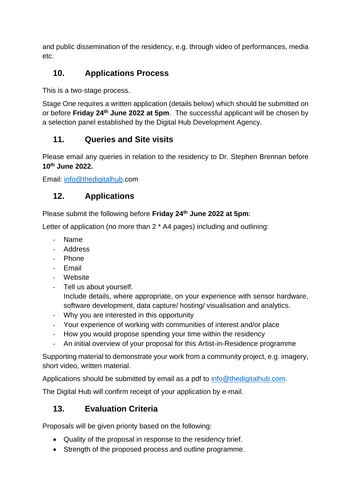and public dissemination of the residency, e.g. through video of performances, media etc.

# <span id="page-5-0"></span>**10. Applications Process**

This is a two‐stage process.

Stage One requires a written application (details below) which should be submitted on or before **Friday 24th June 2022 at 5pm**. The successful applicant will be chosen by a selection panel established by the Digital Hub Development Agency.

# <span id="page-5-1"></span>**11. Queries and Site visits**

Please email any queries in relation to the residency to Dr. Stephen Brennan before **10th June 2022.**

Email: info@thedigitalhub.com

# <span id="page-5-2"></span>**12. Applications**

Please submit the following before **Friday 24th June 2022 at 5pm**:

Letter of application (no more than 2 \* A4 pages) including and outlining:

- Name
- Address
- Phone
- Email
- Website
- Tell us about yourself. Include details, where appropriate, on your experience with sensor hardware, software development, data capture/ hosting/ visualisation and analytics.
- Why you are interested in this opportunity
- Your experience of working with communities of interest and/or place
- How you would propose spending your time within the residency
- An initial overview of your proposal for this Artist-in-Residence programme

Supporting material to demonstrate your work from a community project, e.g. imagery, short video, written material.

Applications should be submitted by email as a pdf to info@thedigitalhub.com.

The Digital Hub will confirm receipt of your application by e-mail.

## <span id="page-5-3"></span>**13. Evaluation Criteria**

Proposals will be given priority based on the following:

- Quality of the proposal in response to the residency brief.
- Strength of the proposed process and outline programme.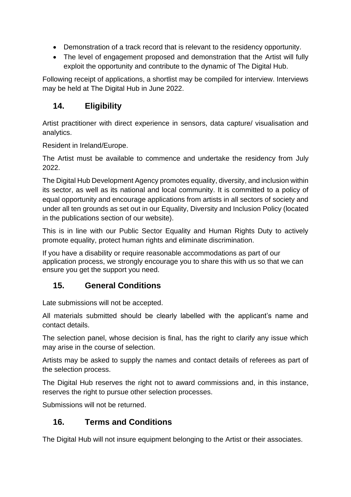- Demonstration of a track record that is relevant to the residency opportunity.
- The level of engagement proposed and demonstration that the Artist will fully exploit the opportunity and contribute to the dynamic of The Digital Hub.

Following receipt of applications, a shortlist may be compiled for interview. Interviews may be held at The Digital Hub in June 2022.

# <span id="page-6-0"></span>**14. Eligibility**

Artist practitioner with direct experience in sensors, data capture/ visualisation and analytics.

Resident in Ireland/Europe.

The Artist must be available to commence and undertake the residency from July 2022.

The Digital Hub Development Agency promotes equality, diversity, and inclusion within its sector, as well as its national and local community. It is committed to a policy of equal opportunity and encourage applications from artists in all sectors of society and under all ten grounds as set out in our Equality, Diversity and Inclusion Policy (located in the publications section of our website).

This is in line with our Public Sector Equality and Human Rights Duty to actively promote equality, protect human rights and eliminate discrimination.

If you have a disability or require reasonable accommodations as part of our application process, we strongly encourage you to share this with us so that we can ensure you get the support you need.

# <span id="page-6-1"></span>**15. General Conditions**

Late submissions will not be accepted.

All materials submitted should be clearly labelled with the applicant's name and contact details.

The selection panel, whose decision is final, has the right to clarify any issue which may arise in the course of selection.

Artists may be asked to supply the names and contact details of referees as part of the selection process.

The Digital Hub reserves the right not to award commissions and, in this instance, reserves the right to pursue other selection processes.

Submissions will not be returned.

## <span id="page-6-2"></span>**16. Terms and Conditions**

The Digital Hub will not insure equipment belonging to the Artist or their associates.